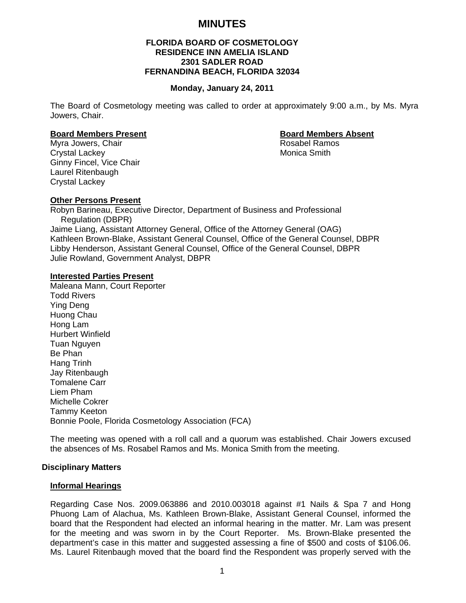# **MINUTES**

# **FLORIDA BOARD OF COSMETOLOGY RESIDENCE INN AMELIA ISLAND 2301 SADLER ROAD FERNANDINA BEACH, FLORIDA 32034**

#### **Monday, January 24, 2011**

The Board of Cosmetology meeting was called to order at approximately 9:00 a.m., by Ms. Myra Jowers, Chair.

#### **Board Members Present Contract Contract Board Members Absent**

Myra Jowers, Chair **Rosabel Ramos Rosabel Ramos** Crystal Lackey **Monica** Smith Ginny Fincel, Vice Chair Laurel Ritenbaugh Crystal Lackey

# **Other Persons Present**

Robyn Barineau, Executive Director, Department of Business and Professional Regulation (DBPR) Jaime Liang, Assistant Attorney General, Office of the Attorney General (OAG) Kathleen Brown-Blake, Assistant General Counsel, Office of the General Counsel, DBPR Libby Henderson, Assistant General Counsel, Office of the General Counsel, DBPR Julie Rowland, Government Analyst, DBPR

## **Interested Parties Present**

Maleana Mann, Court Reporter Todd Rivers Ying Deng Huong Chau Hong Lam Hurbert Winfield Tuan Nguyen Be Phan Hang Trinh Jay Ritenbaugh Tomalene Carr Liem Pham Michelle Cokrer Tammy Keeton Bonnie Poole, Florida Cosmetology Association (FCA)

The meeting was opened with a roll call and a quorum was established. Chair Jowers excused the absences of Ms. Rosabel Ramos and Ms. Monica Smith from the meeting.

## **Disciplinary Matters**

## **Informal Hearings**

Regarding Case Nos. 2009.063886 and 2010.003018 against #1 Nails & Spa 7 and Hong Phuong Lam of Alachua, Ms. Kathleen Brown-Blake, Assistant General Counsel, informed the board that the Respondent had elected an informal hearing in the matter. Mr. Lam was present for the meeting and was sworn in by the Court Reporter. Ms. Brown-Blake presented the department's case in this matter and suggested assessing a fine of \$500 and costs of \$106.06. Ms. Laurel Ritenbaugh moved that the board find the Respondent was properly served with the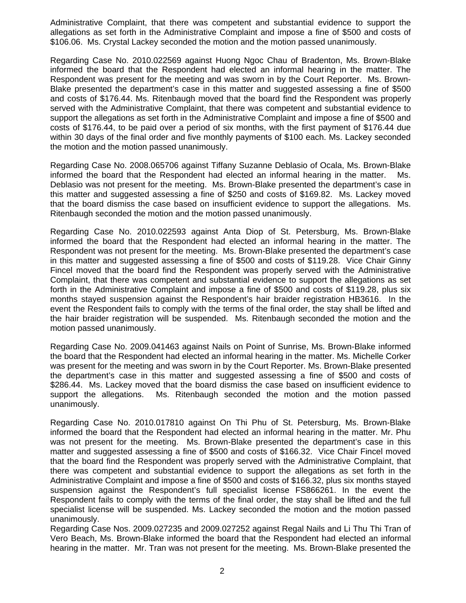Administrative Complaint, that there was competent and substantial evidence to support the allegations as set forth in the Administrative Complaint and impose a fine of \$500 and costs of \$106.06. Ms. Crystal Lackey seconded the motion and the motion passed unanimously.

Regarding Case No. 2010.022569 against Huong Ngoc Chau of Bradenton, Ms. Brown-Blake informed the board that the Respondent had elected an informal hearing in the matter. The Respondent was present for the meeting and was sworn in by the Court Reporter. Ms. Brown-Blake presented the department's case in this matter and suggested assessing a fine of \$500 and costs of \$176.44. Ms. Ritenbaugh moved that the board find the Respondent was properly served with the Administrative Complaint, that there was competent and substantial evidence to support the allegations as set forth in the Administrative Complaint and impose a fine of \$500 and costs of \$176.44, to be paid over a period of six months, with the first payment of \$176.44 due within 30 days of the final order and five monthly payments of \$100 each. Ms. Lackey seconded the motion and the motion passed unanimously.

Regarding Case No. 2008.065706 against Tiffany Suzanne Deblasio of Ocala, Ms. Brown-Blake informed the board that the Respondent had elected an informal hearing in the matter. Ms. Deblasio was not present for the meeting. Ms. Brown-Blake presented the department's case in this matter and suggested assessing a fine of \$250 and costs of \$169.82. Ms. Lackey moved that the board dismiss the case based on insufficient evidence to support the allegations. Ms. Ritenbaugh seconded the motion and the motion passed unanimously.

Regarding Case No. 2010.022593 against Anta Diop of St. Petersburg, Ms. Brown-Blake informed the board that the Respondent had elected an informal hearing in the matter. The Respondent was not present for the meeting. Ms. Brown-Blake presented the department's case in this matter and suggested assessing a fine of \$500 and costs of \$119.28. Vice Chair Ginny Fincel moved that the board find the Respondent was properly served with the Administrative Complaint, that there was competent and substantial evidence to support the allegations as set forth in the Administrative Complaint and impose a fine of \$500 and costs of \$119.28, plus six months stayed suspension against the Respondent's hair braider registration HB3616. In the event the Respondent fails to comply with the terms of the final order, the stay shall be lifted and the hair braider registration will be suspended. Ms. Ritenbaugh seconded the motion and the motion passed unanimously.

Regarding Case No. 2009.041463 against Nails on Point of Sunrise, Ms. Brown-Blake informed the board that the Respondent had elected an informal hearing in the matter. Ms. Michelle Corker was present for the meeting and was sworn in by the Court Reporter. Ms. Brown-Blake presented the department's case in this matter and suggested assessing a fine of \$500 and costs of \$286.44. Ms. Lackey moved that the board dismiss the case based on insufficient evidence to support the allegations. Ms. Ritenbaugh seconded the motion and the motion passed unanimously.

Regarding Case No. 2010.017810 against On Thi Phu of St. Petersburg, Ms. Brown-Blake informed the board that the Respondent had elected an informal hearing in the matter. Mr. Phu was not present for the meeting. Ms. Brown-Blake presented the department's case in this matter and suggested assessing a fine of \$500 and costs of \$166.32. Vice Chair Fincel moved that the board find the Respondent was properly served with the Administrative Complaint, that there was competent and substantial evidence to support the allegations as set forth in the Administrative Complaint and impose a fine of \$500 and costs of \$166.32, plus six months stayed suspension against the Respondent's full specialist license FS866261. In the event the Respondent fails to comply with the terms of the final order, the stay shall be lifted and the full specialist license will be suspended. Ms. Lackey seconded the motion and the motion passed unanimously.

Regarding Case Nos. 2009.027235 and 2009.027252 against Regal Nails and Li Thu Thi Tran of Vero Beach, Ms. Brown-Blake informed the board that the Respondent had elected an informal hearing in the matter. Mr. Tran was not present for the meeting. Ms. Brown-Blake presented the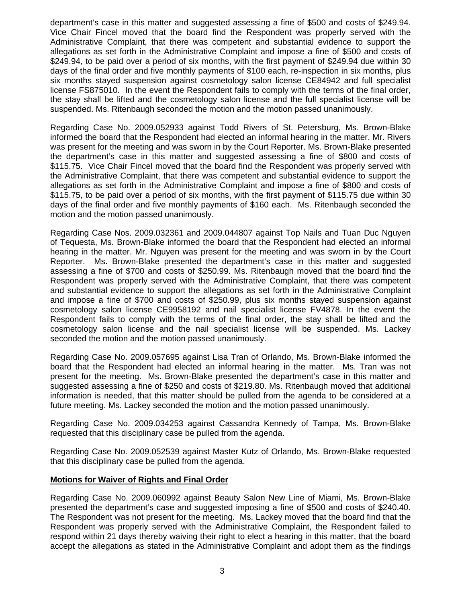department's case in this matter and suggested assessing a fine of \$500 and costs of \$249.94. Vice Chair Fincel moved that the board find the Respondent was properly served with the Administrative Complaint, that there was competent and substantial evidence to support the allegations as set forth in the Administrative Complaint and impose a fine of \$500 and costs of \$249.94, to be paid over a period of six months, with the first payment of \$249.94 due within 30 days of the final order and five monthly payments of \$100 each, re-inspection in six months, plus six months stayed suspension against cosmetology salon license CE84942 and full specialist license FS875010. In the event the Respondent fails to comply with the terms of the final order, the stay shall be lifted and the cosmetology salon license and the full specialist license will be suspended. Ms. Ritenbaugh seconded the motion and the motion passed unanimously.

Regarding Case No. 2009.052933 against Todd Rivers of St. Petersburg, Ms. Brown-Blake informed the board that the Respondent had elected an informal hearing in the matter. Mr. Rivers was present for the meeting and was sworn in by the Court Reporter. Ms. Brown-Blake presented the department's case in this matter and suggested assessing a fine of \$800 and costs of \$115.75. Vice Chair Fincel moved that the board find the Respondent was properly served with the Administrative Complaint, that there was competent and substantial evidence to support the allegations as set forth in the Administrative Complaint and impose a fine of \$800 and costs of \$115.75, to be paid over a period of six months, with the first payment of \$115.75 due within 30 days of the final order and five monthly payments of \$160 each. Ms. Ritenbaugh seconded the motion and the motion passed unanimously.

Regarding Case Nos. 2009.032361 and 2009.044807 against Top Nails and Tuan Duc Nguyen of Tequesta, Ms. Brown-Blake informed the board that the Respondent had elected an informal hearing in the matter. Mr. Nguyen was present for the meeting and was sworn in by the Court Reporter. Ms. Brown-Blake presented the department's case in this matter and suggested assessing a fine of \$700 and costs of \$250.99. Ms. Ritenbaugh moved that the board find the Respondent was properly served with the Administrative Complaint, that there was competent and substantial evidence to support the allegations as set forth in the Administrative Complaint and impose a fine of \$700 and costs of \$250.99, plus six months stayed suspension against cosmetology salon license CE9958192 and nail specialist license FV4878. In the event the Respondent fails to comply with the terms of the final order, the stay shall be lifted and the cosmetology salon license and the nail specialist license will be suspended. Ms. Lackey seconded the motion and the motion passed unanimously.

Regarding Case No. 2009.057695 against Lisa Tran of Orlando, Ms. Brown-Blake informed the board that the Respondent had elected an informal hearing in the matter. Ms. Tran was not present for the meeting. Ms. Brown-Blake presented the department's case in this matter and suggested assessing a fine of \$250 and costs of \$219.80. Ms. Ritenbaugh moved that additional information is needed, that this matter should be pulled from the agenda to be considered at a future meeting. Ms. Lackey seconded the motion and the motion passed unanimously.

Regarding Case No. 2009.034253 against Cassandra Kennedy of Tampa, Ms. Brown-Blake requested that this disciplinary case be pulled from the agenda.

Regarding Case No. 2009.052539 against Master Kutz of Orlando, Ms. Brown-Blake requested that this disciplinary case be pulled from the agenda.

## **Motions for Waiver of Rights and Final Order**

Regarding Case No. 2009.060992 against Beauty Salon New Line of Miami, Ms. Brown-Blake presented the department's case and suggested imposing a fine of \$500 and costs of \$240.40. The Respondent was not present for the meeting. Ms. Lackey moved that the board find that the Respondent was properly served with the Administrative Complaint, the Respondent failed to respond within 21 days thereby waiving their right to elect a hearing in this matter, that the board accept the allegations as stated in the Administrative Complaint and adopt them as the findings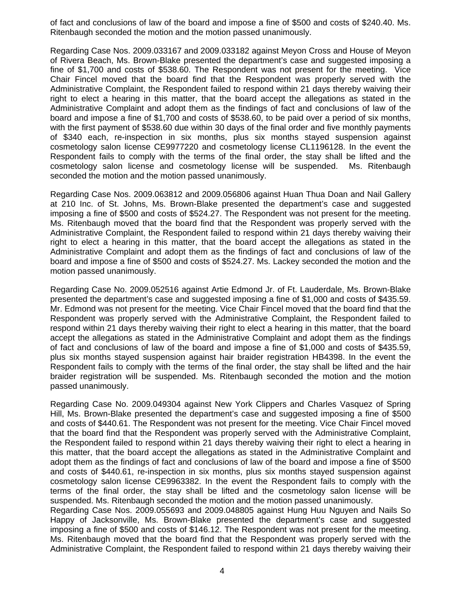of fact and conclusions of law of the board and impose a fine of \$500 and costs of \$240.40. Ms. Ritenbaugh seconded the motion and the motion passed unanimously.

Regarding Case Nos. 2009.033167 and 2009.033182 against Meyon Cross and House of Meyon of Rivera Beach, Ms. Brown-Blake presented the department's case and suggested imposing a fine of \$1,700 and costs of \$538.60. The Respondent was not present for the meeting. Vice Chair Fincel moved that the board find that the Respondent was properly served with the Administrative Complaint, the Respondent failed to respond within 21 days thereby waiving their right to elect a hearing in this matter, that the board accept the allegations as stated in the Administrative Complaint and adopt them as the findings of fact and conclusions of law of the board and impose a fine of \$1,700 and costs of \$538.60, to be paid over a period of six months, with the first payment of \$538.60 due within 30 days of the final order and five monthly payments of \$340 each, re-inspection in six months, plus six months stayed suspension against cosmetology salon license CE9977220 and cosmetology license CL1196128. In the event the Respondent fails to comply with the terms of the final order, the stay shall be lifted and the cosmetology salon license and cosmetology license will be suspended. Ms. Ritenbaugh seconded the motion and the motion passed unanimously.

Regarding Case Nos. 2009.063812 and 2009.056806 against Huan Thua Doan and Nail Gallery at 210 Inc. of St. Johns, Ms. Brown-Blake presented the department's case and suggested imposing a fine of \$500 and costs of \$524.27. The Respondent was not present for the meeting. Ms. Ritenbaugh moved that the board find that the Respondent was properly served with the Administrative Complaint, the Respondent failed to respond within 21 days thereby waiving their right to elect a hearing in this matter, that the board accept the allegations as stated in the Administrative Complaint and adopt them as the findings of fact and conclusions of law of the board and impose a fine of \$500 and costs of \$524.27. Ms. Lackey seconded the motion and the motion passed unanimously.

Regarding Case No. 2009.052516 against Artie Edmond Jr. of Ft. Lauderdale, Ms. Brown-Blake presented the department's case and suggested imposing a fine of \$1,000 and costs of \$435.59. Mr. Edmond was not present for the meeting. Vice Chair Fincel moved that the board find that the Respondent was properly served with the Administrative Complaint, the Respondent failed to respond within 21 days thereby waiving their right to elect a hearing in this matter, that the board accept the allegations as stated in the Administrative Complaint and adopt them as the findings of fact and conclusions of law of the board and impose a fine of \$1,000 and costs of \$435.59, plus six months stayed suspension against hair braider registration HB4398. In the event the Respondent fails to comply with the terms of the final order, the stay shall be lifted and the hair braider registration will be suspended. Ms. Ritenbaugh seconded the motion and the motion passed unanimously.

Regarding Case No. 2009.049304 against New York Clippers and Charles Vasquez of Spring Hill, Ms. Brown-Blake presented the department's case and suggested imposing a fine of \$500 and costs of \$440.61. The Respondent was not present for the meeting. Vice Chair Fincel moved that the board find that the Respondent was properly served with the Administrative Complaint, the Respondent failed to respond within 21 days thereby waiving their right to elect a hearing in this matter, that the board accept the allegations as stated in the Administrative Complaint and adopt them as the findings of fact and conclusions of law of the board and impose a fine of \$500 and costs of \$440.61, re-inspection in six months, plus six months stayed suspension against cosmetology salon license CE9963382. In the event the Respondent fails to comply with the terms of the final order, the stay shall be lifted and the cosmetology salon license will be suspended. Ms. Ritenbaugh seconded the motion and the motion passed unanimously.

Regarding Case Nos. 2009.055693 and 2009.048805 against Hung Huu Nguyen and Nails So Happy of Jacksonville, Ms. Brown-Blake presented the department's case and suggested imposing a fine of \$500 and costs of \$146.12. The Respondent was not present for the meeting. Ms. Ritenbaugh moved that the board find that the Respondent was properly served with the Administrative Complaint, the Respondent failed to respond within 21 days thereby waiving their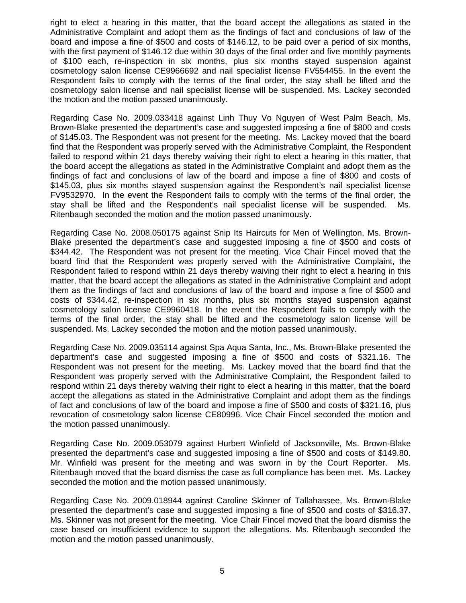right to elect a hearing in this matter, that the board accept the allegations as stated in the Administrative Complaint and adopt them as the findings of fact and conclusions of law of the board and impose a fine of \$500 and costs of \$146.12, to be paid over a period of six months, with the first payment of \$146.12 due within 30 days of the final order and five monthly payments of \$100 each, re-inspection in six months, plus six months stayed suspension against cosmetology salon license CE9966692 and nail specialist license FV554455. In the event the Respondent fails to comply with the terms of the final order, the stay shall be lifted and the cosmetology salon license and nail specialist license will be suspended. Ms. Lackey seconded the motion and the motion passed unanimously.

Regarding Case No. 2009.033418 against Linh Thuy Vo Nguyen of West Palm Beach, Ms. Brown-Blake presented the department's case and suggested imposing a fine of \$800 and costs of \$145.03. The Respondent was not present for the meeting. Ms. Lackey moved that the board find that the Respondent was properly served with the Administrative Complaint, the Respondent failed to respond within 21 days thereby waiving their right to elect a hearing in this matter, that the board accept the allegations as stated in the Administrative Complaint and adopt them as the findings of fact and conclusions of law of the board and impose a fine of \$800 and costs of \$145.03, plus six months stayed suspension against the Respondent's nail specialist license FV9532970. In the event the Respondent fails to comply with the terms of the final order, the stay shall be lifted and the Respondent's nail specialist license will be suspended. Ms. Ritenbaugh seconded the motion and the motion passed unanimously.

Regarding Case No. 2008.050175 against Snip Its Haircuts for Men of Wellington, Ms. Brown-Blake presented the department's case and suggested imposing a fine of \$500 and costs of \$344.42. The Respondent was not present for the meeting. Vice Chair Fincel moved that the board find that the Respondent was properly served with the Administrative Complaint, the Respondent failed to respond within 21 days thereby waiving their right to elect a hearing in this matter, that the board accept the allegations as stated in the Administrative Complaint and adopt them as the findings of fact and conclusions of law of the board and impose a fine of \$500 and costs of \$344.42, re-inspection in six months, plus six months stayed suspension against cosmetology salon license CE9960418. In the event the Respondent fails to comply with the terms of the final order, the stay shall be lifted and the cosmetology salon license will be suspended. Ms. Lackey seconded the motion and the motion passed unanimously.

Regarding Case No. 2009.035114 against Spa Aqua Santa, Inc., Ms. Brown-Blake presented the department's case and suggested imposing a fine of \$500 and costs of \$321.16. The Respondent was not present for the meeting. Ms. Lackey moved that the board find that the Respondent was properly served with the Administrative Complaint, the Respondent failed to respond within 21 days thereby waiving their right to elect a hearing in this matter, that the board accept the allegations as stated in the Administrative Complaint and adopt them as the findings of fact and conclusions of law of the board and impose a fine of \$500 and costs of \$321.16, plus revocation of cosmetology salon license CE80996. Vice Chair Fincel seconded the motion and the motion passed unanimously.

Regarding Case No. 2009.053079 against Hurbert Winfield of Jacksonville, Ms. Brown-Blake presented the department's case and suggested imposing a fine of \$500 and costs of \$149.80. Mr. Winfield was present for the meeting and was sworn in by the Court Reporter. Ms. Ritenbaugh moved that the board dismiss the case as full compliance has been met. Ms. Lackey seconded the motion and the motion passed unanimously.

Regarding Case No. 2009.018944 against Caroline Skinner of Tallahassee, Ms. Brown-Blake presented the department's case and suggested imposing a fine of \$500 and costs of \$316.37. Ms. Skinner was not present for the meeting. Vice Chair Fincel moved that the board dismiss the case based on insufficient evidence to support the allegations. Ms. Ritenbaugh seconded the motion and the motion passed unanimously.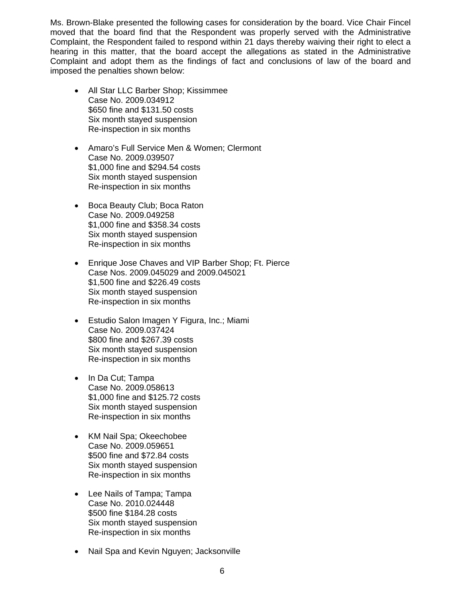Ms. Brown-Blake presented the following cases for consideration by the board. Vice Chair Fincel moved that the board find that the Respondent was properly served with the Administrative Complaint, the Respondent failed to respond within 21 days thereby waiving their right to elect a hearing in this matter, that the board accept the allegations as stated in the Administrative Complaint and adopt them as the findings of fact and conclusions of law of the board and imposed the penalties shown below:

- All Star LLC Barber Shop; Kissimmee Case No. 2009.034912 \$650 fine and \$131.50 costs Six month stayed suspension Re-inspection in six months
- Amaro's Full Service Men & Women; Clermont Case No. 2009.039507 \$1,000 fine and \$294.54 costs Six month stayed suspension Re-inspection in six months
- Boca Beauty Club; Boca Raton Case No. 2009.049258 \$1,000 fine and \$358.34 costs Six month stayed suspension Re-inspection in six months
- Enrique Jose Chaves and VIP Barber Shop; Ft. Pierce Case Nos. 2009.045029 and 2009.045021 \$1,500 fine and \$226.49 costs Six month stayed suspension Re-inspection in six months
- Estudio Salon Imagen Y Figura, Inc.; Miami Case No. 2009.037424 \$800 fine and \$267.39 costs Six month stayed suspension Re-inspection in six months
- In Da Cut: Tampa Case No. 2009.058613 \$1,000 fine and \$125.72 costs Six month stayed suspension Re-inspection in six months
- KM Nail Spa; Okeechobee Case No. 2009.059651 \$500 fine and \$72.84 costs Six month stayed suspension Re-inspection in six months
- Lee Nails of Tampa; Tampa Case No. 2010.024448 \$500 fine \$184.28 costs Six month stayed suspension Re-inspection in six months
- Nail Spa and Kevin Nguyen; Jacksonville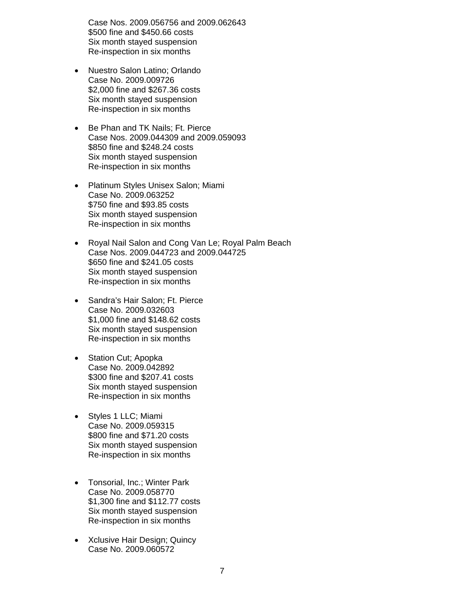Case Nos. 2009.056756 and 2009.062643 \$500 fine and \$450.66 costs Six month stayed suspension Re-inspection in six months

- Nuestro Salon Latino; Orlando Case No. 2009.009726 \$2,000 fine and \$267.36 costs Six month stayed suspension Re-inspection in six months
- Be Phan and TK Nails; Ft. Pierce Case Nos. 2009.044309 and 2009.059093 \$850 fine and \$248.24 costs Six month stayed suspension Re-inspection in six months
- Platinum Styles Unisex Salon; Miami Case No. 2009.063252 \$750 fine and \$93.85 costs Six month stayed suspension Re-inspection in six months
- Royal Nail Salon and Cong Van Le; Royal Palm Beach Case Nos. 2009.044723 and 2009.044725 \$650 fine and \$241.05 costs Six month stayed suspension Re-inspection in six months
- Sandra's Hair Salon; Ft. Pierce Case No. 2009.032603 \$1,000 fine and \$148.62 costs Six month stayed suspension Re-inspection in six months
- Station Cut; Apopka Case No. 2009.042892 \$300 fine and \$207.41 costs Six month stayed suspension Re-inspection in six months
- Styles 1 LLC; Miami Case No. 2009.059315 \$800 fine and \$71.20 costs Six month stayed suspension Re-inspection in six months
- Tonsorial, Inc.; Winter Park Case No. 2009.058770 \$1,300 fine and \$112.77 costs Six month stayed suspension Re-inspection in six months
- Xclusive Hair Design; Quincy Case No. 2009.060572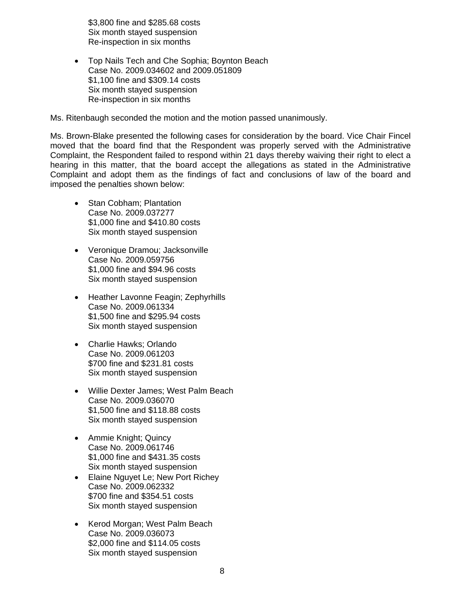\$3,800 fine and \$285.68 costs Six month stayed suspension Re-inspection in six months

• Top Nails Tech and Che Sophia; Boynton Beach Case No. 2009.034602 and 2009.051809 \$1,100 fine and \$309.14 costs Six month stayed suspension Re-inspection in six months

Ms. Ritenbaugh seconded the motion and the motion passed unanimously.

Ms. Brown-Blake presented the following cases for consideration by the board. Vice Chair Fincel moved that the board find that the Respondent was properly served with the Administrative Complaint, the Respondent failed to respond within 21 days thereby waiving their right to elect a hearing in this matter, that the board accept the allegations as stated in the Administrative Complaint and adopt them as the findings of fact and conclusions of law of the board and imposed the penalties shown below:

- Stan Cobham: Plantation Case No. 2009.037277 \$1,000 fine and \$410.80 costs Six month stayed suspension
- Veronique Dramou; Jacksonville Case No. 2009.059756 \$1,000 fine and \$94.96 costs Six month stayed suspension
- Heather Lavonne Feagin; Zephyrhills Case No. 2009.061334 \$1,500 fine and \$295.94 costs Six month stayed suspension
- Charlie Hawks; Orlando Case No. 2009.061203 \$700 fine and \$231.81 costs Six month stayed suspension
- Willie Dexter James; West Palm Beach Case No. 2009.036070 \$1,500 fine and \$118.88 costs Six month stayed suspension
- Ammie Knight; Quincy Case No. 2009.061746 \$1,000 fine and \$431.35 costs Six month stayed suspension
- Elaine Nguyet Le; New Port Richey Case No. 2009.062332 \$700 fine and \$354.51 costs Six month stayed suspension
- Kerod Morgan; West Palm Beach Case No. 2009.036073 \$2,000 fine and \$114.05 costs Six month stayed suspension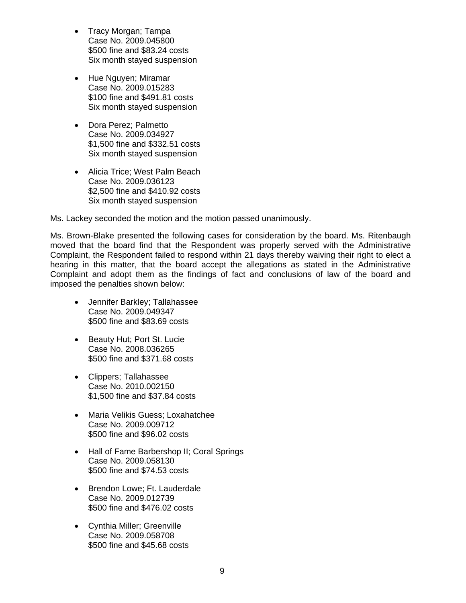- Tracy Morgan; Tampa Case No. 2009.045800 \$500 fine and \$83.24 costs Six month stayed suspension
- Hue Nguyen; Miramar Case No. 2009.015283 \$100 fine and \$491.81 costs Six month stayed suspension
- Dora Perez; Palmetto Case No. 2009.034927 \$1,500 fine and \$332.51 costs Six month stayed suspension
- Alicia Trice; West Palm Beach Case No. 2009.036123 \$2,500 fine and \$410.92 costs Six month stayed suspension

Ms. Lackey seconded the motion and the motion passed unanimously.

Ms. Brown-Blake presented the following cases for consideration by the board. Ms. Ritenbaugh moved that the board find that the Respondent was properly served with the Administrative Complaint, the Respondent failed to respond within 21 days thereby waiving their right to elect a hearing in this matter, that the board accept the allegations as stated in the Administrative Complaint and adopt them as the findings of fact and conclusions of law of the board and imposed the penalties shown below:

- Jennifer Barkley; Tallahassee Case No. 2009.049347 \$500 fine and \$83.69 costs
- Beauty Hut; Port St. Lucie Case No. 2008.036265 \$500 fine and \$371.68 costs
- Clippers; Tallahassee Case No. 2010.002150 \$1,500 fine and \$37.84 costs
- Maria Velikis Guess; Loxahatchee Case No. 2009.009712 \$500 fine and \$96.02 costs
- Hall of Fame Barbershop II; Coral Springs Case No. 2009.058130 \$500 fine and \$74.53 costs
- Brendon Lowe; Ft. Lauderdale Case No. 2009.012739 \$500 fine and \$476.02 costs
- Cynthia Miller; Greenville Case No. 2009.058708 \$500 fine and \$45.68 costs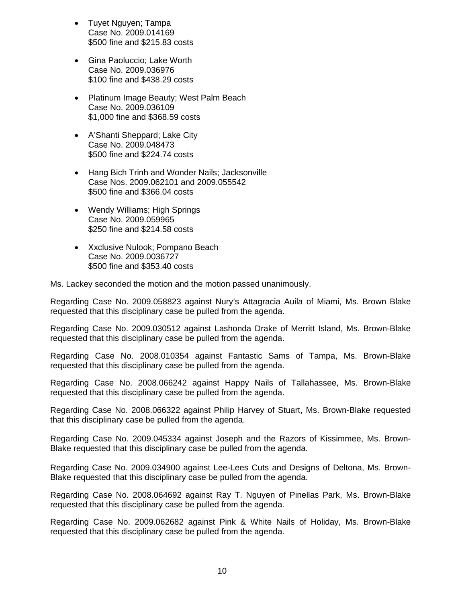- Tuyet Nguyen; Tampa Case No. 2009.014169 \$500 fine and \$215.83 costs
- Gina Paoluccio; Lake Worth Case No. 2009.036976 \$100 fine and \$438.29 costs
- Platinum Image Beauty; West Palm Beach Case No. 2009.036109 \$1,000 fine and \$368.59 costs
- A'Shanti Sheppard; Lake City Case No. 2009.048473 \$500 fine and \$224.74 costs
- Hang Bich Trinh and Wonder Nails; Jacksonville Case Nos. 2009.062101 and 2009.055542 \$500 fine and \$366.04 costs
- Wendy Williams; High Springs Case No. 2009.059965 \$250 fine and \$214.58 costs
- Xxclusive Nulook; Pompano Beach Case No. 2009.0036727 \$500 fine and \$353.40 costs

Ms. Lackey seconded the motion and the motion passed unanimously.

Regarding Case No. 2009.058823 against Nury's Attagracia Auila of Miami, Ms. Brown Blake requested that this disciplinary case be pulled from the agenda.

Regarding Case No. 2009.030512 against Lashonda Drake of Merritt Island, Ms. Brown-Blake requested that this disciplinary case be pulled from the agenda.

Regarding Case No. 2008.010354 against Fantastic Sams of Tampa, Ms. Brown-Blake requested that this disciplinary case be pulled from the agenda.

Regarding Case No. 2008.066242 against Happy Nails of Tallahassee, Ms. Brown-Blake requested that this disciplinary case be pulled from the agenda.

Regarding Case No. 2008.066322 against Philip Harvey of Stuart, Ms. Brown-Blake requested that this disciplinary case be pulled from the agenda.

Regarding Case No. 2009.045334 against Joseph and the Razors of Kissimmee, Ms. Brown-Blake requested that this disciplinary case be pulled from the agenda.

Regarding Case No. 2009.034900 against Lee-Lees Cuts and Designs of Deltona, Ms. Brown-Blake requested that this disciplinary case be pulled from the agenda.

Regarding Case No. 2008.064692 against Ray T. Nguyen of Pinellas Park, Ms. Brown-Blake requested that this disciplinary case be pulled from the agenda.

Regarding Case No. 2009.062682 against Pink & White Nails of Holiday, Ms. Brown-Blake requested that this disciplinary case be pulled from the agenda.